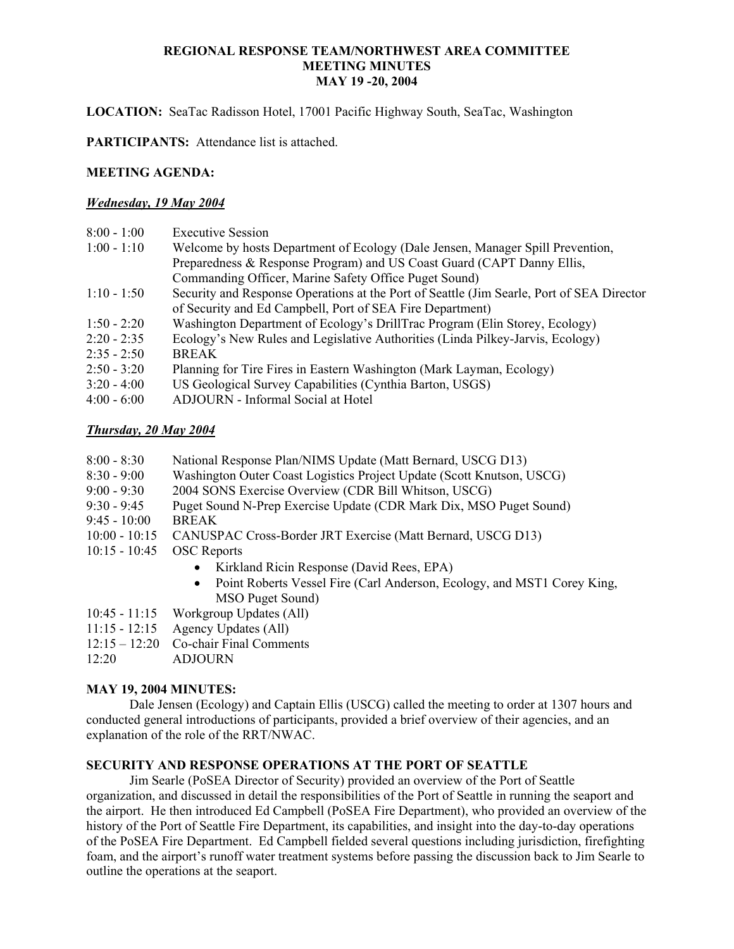**LOCATION:** SeaTac Radisson Hotel, 17001 Pacific Highway South, SeaTac, Washington

**PARTICIPANTS:** Attendance list is attached.

# **MEETING AGENDA:**

# *Wednesday, 19 May 2004*

| $8:00 - 1:00$     | <b>Executive Session</b>                                                                  |
|-------------------|-------------------------------------------------------------------------------------------|
| $1:00 - 1:10$     | Welcome by hosts Department of Ecology (Dale Jensen, Manager Spill Prevention,            |
|                   | Preparedness & Response Program) and US Coast Guard (CAPT Danny Ellis,                    |
|                   | Commanding Officer, Marine Safety Office Puget Sound)                                     |
| $1:10 - 1:50$     | Security and Response Operations at the Port of Seattle (Jim Searle, Port of SEA Director |
|                   | of Security and Ed Campbell, Port of SEA Fire Department)                                 |
| $1:50 - 2:20$     | Washington Department of Ecology's DrillTrac Program (Elin Storey, Ecology)               |
| $2:20 - 2:35$     | Ecology's New Rules and Legislative Authorities (Linda Pilkey-Jarvis, Ecology)            |
| $2:35 - 2:50$     | <b>BREAK</b>                                                                              |
| $2:50 - 3:20$     | Planning for Tire Fires in Eastern Washington (Mark Layman, Ecology)                      |
| $3:20 - 4:00$     | US Geological Survey Capabilities (Cynthia Barton, USGS)                                  |
| $A.00 \quad A.00$ | $\Lambda$ DIOUDM Lefermed Second of Hatal                                                 |

# 4:00 - 6:00 ADJOURN - Informal Social at Hotel

# *Thursday, 20 May 2004*

- 8:00 8:30 National Response Plan/NIMS Update (Matt Bernard, USCG D13)
- 8:30 9:00 Washington Outer Coast Logistics Project Update (Scott Knutson, USCG)
- 9:00 9:30 2004 SONS Exercise Overview (CDR Bill Whitson, USCG)
- 9:30 9:45 Puget Sound N-Prep Exercise Update (CDR Mark Dix, MSO Puget Sound)
- 9:45 10:00 BREAK
- 10:00 10:15 CANUSPAC Cross-Border JRT Exercise (Matt Bernard, USCG D13)
- 10:15 10:45 OSC Reports
	- Kirkland Ricin Response (David Rees, EPA)
	- Point Roberts Vessel Fire (Carl Anderson, Ecology, and MST1 Corey King, MSO Puget Sound)
- 10:45 11:15 Workgroup Updates (All)
- 11:15 12:15 Agency Updates (All)
- 12:15 12:20 Co-chair Final Comments
- 12:20 ADJOURN

# **MAY 19, 2004 MINUTES:**

Dale Jensen (Ecology) and Captain Ellis (USCG) called the meeting to order at 1307 hours and conducted general introductions of participants, provided a brief overview of their agencies, and an explanation of the role of the RRT/NWAC.

# **SECURITY AND RESPONSE OPERATIONS AT THE PORT OF SEATTLE**

Jim Searle (PoSEA Director of Security) provided an overview of the Port of Seattle organization, and discussed in detail the responsibilities of the Port of Seattle in running the seaport and the airport. He then introduced Ed Campbell (PoSEA Fire Department), who provided an overview of the history of the Port of Seattle Fire Department, its capabilities, and insight into the day-to-day operations of the PoSEA Fire Department. Ed Campbell fielded several questions including jurisdiction, firefighting foam, and the airport's runoff water treatment systems before passing the discussion back to Jim Searle to outline the operations at the seaport.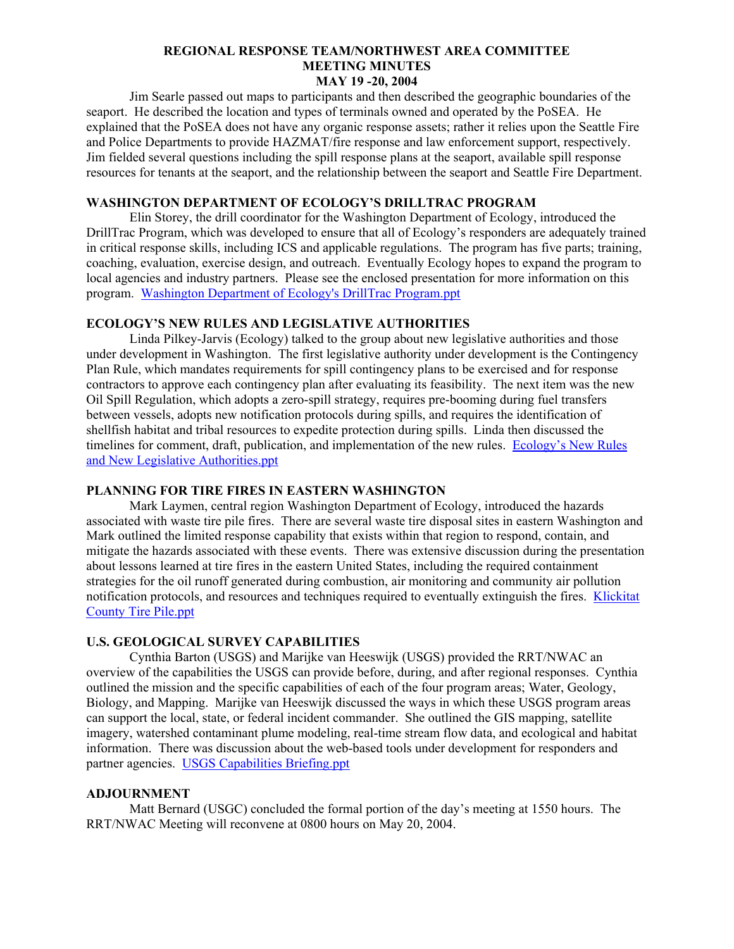Jim Searle passed out maps to participants and then described the geographic boundaries of the seaport. He described the location and types of terminals owned and operated by the PoSEA. He explained that the PoSEA does not have any organic response assets; rather it relies upon the Seattle Fire and Police Departments to provide HAZMAT/fire response and law enforcement support, respectively. Jim fielded several questions including the spill response plans at the seaport, available spill response resources for tenants at the seaport, and the relationship between the seaport and Seattle Fire Department.

#### **WASHINGTON DEPARTMENT OF ECOLOGY'S DRILLTRAC PROGRAM**

Elin Storey, the drill coordinator for the Washington Department of Ecology, introduced the DrillTrac Program, which was developed to ensure that all of Ecology's responders are adequately trained in critical response skills, including ICS and applicable regulations. The program has five parts; training, coaching, evaluation, exercise design, and outreach. Eventually Ecology hopes to expand the program to local agencies and industry partners. Please see the enclosed presentation for more information on this program. [Washington Department of Ecology's DrillTrac Program.ppt](http://www.rrt10nwac.com/ppt_main.asp?varDir=01&varCount=17&varFile=040519_rrtnwac.pdf)

## **ECOLOGY'S NEW RULES AND LEGISLATIVE AUTHORITIES**

Linda Pilkey-Jarvis (Ecology) talked to the group about new legislative authorities and those under development in Washington. The first legislative authority under development is the Contingency Plan Rule, which mandates requirements for spill contingency plans to be exercised and for response contractors to approve each contingency plan after evaluating its feasibility. The next item was the new Oil Spill Regulation, which adopts a zero-spill strategy, requires pre-booming during fuel transfers between vessels, adopts new notification protocols during spills, and requires the identification of shellfish habitat and tribal resources to expedite protection during spills. Linda then discussed the timelines for comment, draft, publication, and implementation of the new rules. [Ecology's New Rules](http://www.rrt10nwac.com/ppt_main.asp?varDir=02&varCount=14&varFile=040519_rrtnwac.pdf)  [and New Legislative Authorities.ppt](http://www.rrt10nwac.com/ppt_main.asp?varDir=02&varCount=14&varFile=040519_rrtnwac.pdf)

## **PLANNING FOR TIRE FIRES IN EASTERN WASHINGTON**

Mark Laymen, central region Washington Department of Ecology, introduced the hazards associated with waste tire pile fires. There are several waste tire disposal sites in eastern Washington and Mark outlined the limited response capability that exists within that region to respond, contain, and mitigate the hazards associated with these events. There was extensive discussion during the presentation about lessons learned at tire fires in the eastern United States, including the required containment strategies for the oil runoff generated during combustion, air monitoring and community air pollution notification protocols, and resources and techniques required to eventually extinguish the fires. [Klickitat](http://www.rrt10nwac.com/ppt_main.asp?varDir=03&varCount=17&varFile=040519_rrtnwac.pdf)  [County Tire Pile.ppt](http://www.rrt10nwac.com/ppt_main.asp?varDir=03&varCount=17&varFile=040519_rrtnwac.pdf)

## **U.S. GEOLOGICAL SURVEY CAPABILITIES**

 Cynthia Barton (USGS) and Marijke van Heeswijk (USGS) provided the RRT/NWAC an overview of the capabilities the USGS can provide before, during, and after regional responses. Cynthia outlined the mission and the specific capabilities of each of the four program areas; Water, Geology, Biology, and Mapping. Marijke van Heeswijk discussed the ways in which these USGS program areas can support the local, state, or federal incident commander. She outlined the GIS mapping, satellite imagery, watershed contaminant plume modeling, real-time stream flow data, and ecological and habitat information. There was discussion about the web-based tools under development for responders and partner agencies. [USGS Capabilities Briefing.ppt](http://www.rrt10nwac.com/ppt_main.asp?varDir=04&varCount=27&varFile=040519_rrtnwac.pdf) 

#### **ADJOURNMENT**

Matt Bernard (USGC) concluded the formal portion of the day's meeting at 1550 hours. The RRT/NWAC Meeting will reconvene at 0800 hours on May 20, 2004.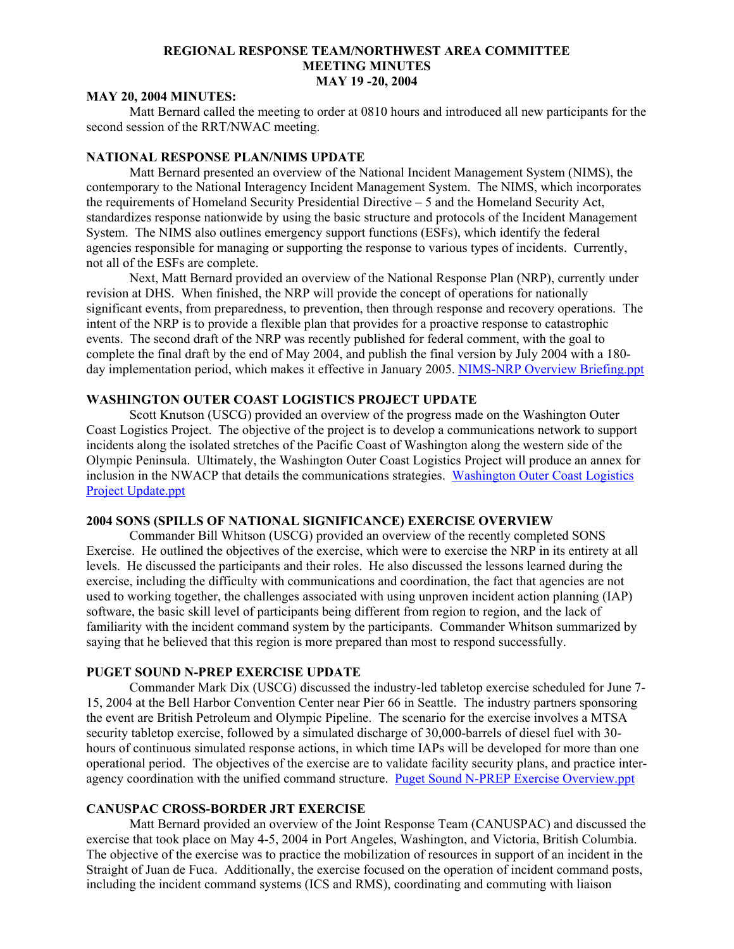#### **MAY 20, 2004 MINUTES:**

Matt Bernard called the meeting to order at 0810 hours and introduced all new participants for the second session of the RRT/NWAC meeting.

## **NATIONAL RESPONSE PLAN/NIMS UPDATE**

Matt Bernard presented an overview of the National Incident Management System (NIMS), the contemporary to the National Interagency Incident Management System. The NIMS, which incorporates the requirements of Homeland Security Presidential Directive – 5 and the Homeland Security Act, standardizes response nationwide by using the basic structure and protocols of the Incident Management System. The NIMS also outlines emergency support functions (ESFs), which identify the federal agencies responsible for managing or supporting the response to various types of incidents. Currently, not all of the ESFs are complete.

Next, Matt Bernard provided an overview of the National Response Plan (NRP), currently under revision at DHS. When finished, the NRP will provide the concept of operations for nationally significant events, from preparedness, to prevention, then through response and recovery operations. The intent of the NRP is to provide a flexible plan that provides for a proactive response to catastrophic events. The second draft of the NRP was recently published for federal comment, with the goal to complete the final draft by the end of May 2004, and publish the final version by July 2004 with a 180- day implementation period, which makes it effective in January 2005. [NIMS-NRP Overview Briefing.ppt](http://www.rrt10nwac.com/ppt_main.asp?varDir=05&varCount=28&varFile=040519_rrtnwac.pdf)

## **WASHINGTON OUTER COAST LOGISTICS PROJECT UPDATE**

Scott Knutson (USCG) provided an overview of the progress made on the Washington Outer Coast Logistics Project. The objective of the project is to develop a communications network to support incidents along the isolated stretches of the Pacific Coast of Washington along the western side of the Olympic Peninsula. Ultimately, the Washington Outer Coast Logistics Project will produce an annex for inclusion in the NWACP that details the communications strategies. [Washington Outer Coast Logistics](http://www.rrt10nwac.com/ppt_main.asp?varDir=06&varCount=35&varFile=040519_rrtnwac.pdf)  [Project Update.ppt](http://www.rrt10nwac.com/ppt_main.asp?varDir=06&varCount=35&varFile=040519_rrtnwac.pdf)

## **2004 SONS (SPILLS OF NATIONAL SIGNIFICANCE) EXERCISE OVERVIEW**

Commander Bill Whitson (USCG) provided an overview of the recently completed SONS Exercise. He outlined the objectives of the exercise, which were to exercise the NRP in its entirety at all levels. He discussed the participants and their roles. He also discussed the lessons learned during the exercise, including the difficulty with communications and coordination, the fact that agencies are not used to working together, the challenges associated with using unproven incident action planning (IAP) software, the basic skill level of participants being different from region to region, and the lack of familiarity with the incident command system by the participants. Commander Whitson summarized by saying that he believed that this region is more prepared than most to respond successfully.

# **PUGET SOUND N-PREP EXERCISE UPDATE**

Commander Mark Dix (USCG) discussed the industry-led tabletop exercise scheduled for June 7- 15, 2004 at the Bell Harbor Convention Center near Pier 66 in Seattle. The industry partners sponsoring the event are British Petroleum and Olympic Pipeline. The scenario for the exercise involves a MTSA security tabletop exercise, followed by a simulated discharge of 30,000-barrels of diesel fuel with 30 hours of continuous simulated response actions, in which time IAPs will be developed for more than one operational period. The objectives of the exercise are to validate facility security plans, and practice interagency coordination with the unified command structure. [Puget Sound N-PREP Exercise Overview.ppt](http://www.rrt10nwac.com/ppt_main.asp?varDir=07&varCount=4&varFile=040519_rrtnwac.pdf)

### **CANUSPAC CROSS-BORDER JRT EXERCISE**

Matt Bernard provided an overview of the Joint Response Team (CANUSPAC) and discussed the exercise that took place on May 4-5, 2004 in Port Angeles, Washington, and Victoria, British Columbia. The objective of the exercise was to practice the mobilization of resources in support of an incident in the Straight of Juan de Fuca. Additionally, the exercise focused on the operation of incident command posts, including the incident command systems (ICS and RMS), coordinating and commuting with liaison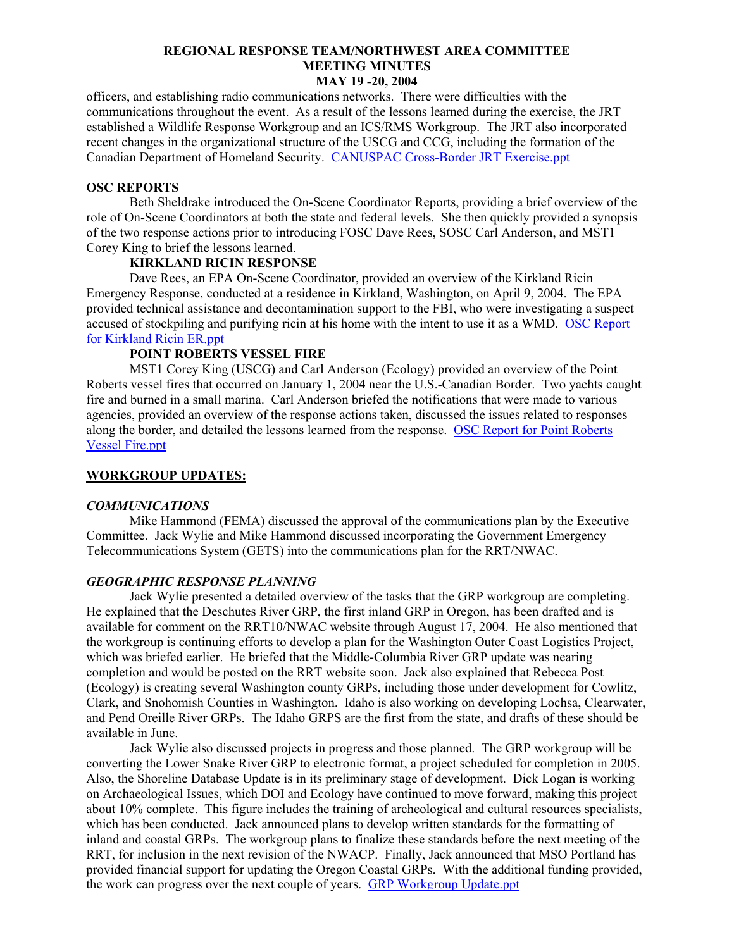officers, and establishing radio communications networks. There were difficulties with the communications throughout the event. As a result of the lessons learned during the exercise, the JRT established a Wildlife Response Workgroup and an ICS/RMS Workgroup. The JRT also incorporated recent changes in the organizational structure of the USCG and CCG, including the formation of the Canadian Department of Homeland Security. [CANUSPAC Cross-Border JRT Exercise.ppt](http://www.rrt10nwac.com/ppt_main.asp?varDir=08&varCount=4&varFile=040519_rrtnwac.pdf)

#### **OSC REPORTS**

Beth Sheldrake introduced the On-Scene Coordinator Reports, providing a brief overview of the role of On-Scene Coordinators at both the state and federal levels. She then quickly provided a synopsis of the two response actions prior to introducing FOSC Dave Rees, SOSC Carl Anderson, and MST1 Corey King to brief the lessons learned.

## **KIRKLAND RICIN RESPONSE**

 Dave Rees, an EPA On-Scene Coordinator, provided an overview of the Kirkland Ricin Emergency Response, conducted at a residence in Kirkland, Washington, on April 9, 2004. The EPA provided technical assistance and decontamination support to the FBI, who were investigating a suspect accused of stockpiling and purifying ricin at his home with the intent to use it as a WMD. [OSC Report](http://www.rrt10nwac.com/ppt_main.asp?varDir=09&varCount=13&varFile=040519_rrtnwac.pdf)  [for Kirkland Ricin ER.ppt](http://www.rrt10nwac.com/ppt_main.asp?varDir=09&varCount=13&varFile=040519_rrtnwac.pdf)

### **POINT ROBERTS VESSEL FIRE**

 MST1 Corey King (USCG) and Carl Anderson (Ecology) provided an overview of the Point Roberts vessel fires that occurred on January 1, 2004 near the U.S.-Canadian Border. Two yachts caught fire and burned in a small marina. Carl Anderson briefed the notifications that were made to various agencies, provided an overview of the response actions taken, discussed the issues related to responses along the border, and detailed the lessons learned from the response. [OSC Report for Point Roberts](http://www.rrt10nwac.com/ppt_main.asp?varDir=10&varCount=19&varFile=040519_rrtnwac.pdf)  [Vessel Fire.ppt](http://www.rrt10nwac.com/ppt_main.asp?varDir=10&varCount=19&varFile=040519_rrtnwac.pdf)

## **WORKGROUP UPDATES:**

#### *COMMUNICATIONS*

Mike Hammond (FEMA) discussed the approval of the communications plan by the Executive Committee. Jack Wylie and Mike Hammond discussed incorporating the Government Emergency Telecommunications System (GETS) into the communications plan for the RRT/NWAC.

#### *GEOGRAPHIC RESPONSE PLANNING*

Jack Wylie presented a detailed overview of the tasks that the GRP workgroup are completing. He explained that the Deschutes River GRP, the first inland GRP in Oregon, has been drafted and is available for comment on the RRT10/NWAC website through August 17, 2004. He also mentioned that the workgroup is continuing efforts to develop a plan for the Washington Outer Coast Logistics Project, which was briefed earlier. He briefed that the Middle-Columbia River GRP update was nearing completion and would be posted on the RRT website soon. Jack also explained that Rebecca Post (Ecology) is creating several Washington county GRPs, including those under development for Cowlitz, Clark, and Snohomish Counties in Washington. Idaho is also working on developing Lochsa, Clearwater, and Pend Oreille River GRPs. The Idaho GRPS are the first from the state, and drafts of these should be available in June.

Jack Wylie also discussed projects in progress and those planned. The GRP workgroup will be converting the Lower Snake River GRP to electronic format, a project scheduled for completion in 2005. Also, the Shoreline Database Update is in its preliminary stage of development. Dick Logan is working on Archaeological Issues, which DOI and Ecology have continued to move forward, making this project about 10% complete. This figure includes the training of archeological and cultural resources specialists, which has been conducted. Jack announced plans to develop written standards for the formatting of inland and coastal GRPs. The workgroup plans to finalize these standards before the next meeting of the RRT, for inclusion in the next revision of the NWACP. Finally, Jack announced that MSO Portland has provided financial support for updating the Oregon Coastal GRPs. With the additional funding provided, the work can progress over the next couple of years. [GRP Workgroup Update.ppt](http://www.rrt10nwac.com/ppt_main.asp?varDir=11&varCount=1&varFile=040519_rrtnwac.pdf)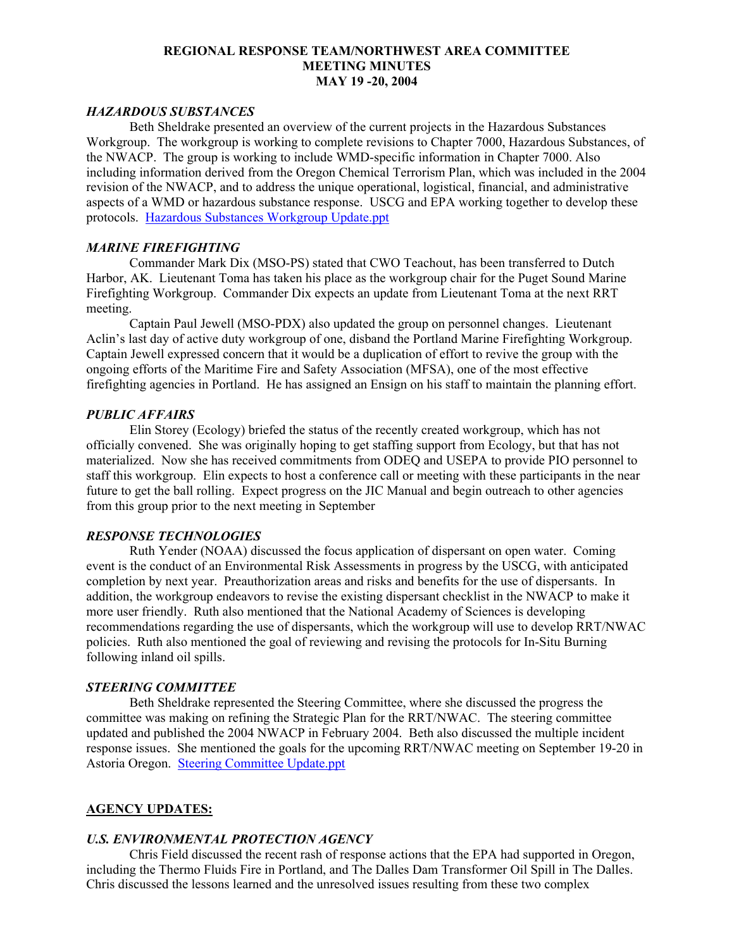# *HAZARDOUS SUBSTANCES*

Beth Sheldrake presented an overview of the current projects in the Hazardous Substances Workgroup. The workgroup is working to complete revisions to Chapter 7000, Hazardous Substances, of the NWACP. The group is working to include WMD-specific information in Chapter 7000. Also including information derived from the Oregon Chemical Terrorism Plan, which was included in the 2004 revision of the NWACP, and to address the unique operational, logistical, financial, and administrative aspects of a WMD or hazardous substance response. USCG and EPA working together to develop these protocols. [Hazardous Substances Workgroup Update.ppt](http://www.rrt10nwac.com/ppt_main.asp?varDir=12&varCount=1&varFile=040519_rrtnwac.pdf)

## *MARINE FIREFIGHTING*

Commander Mark Dix (MSO-PS) stated that CWO Teachout, has been transferred to Dutch Harbor, AK. Lieutenant Toma has taken his place as the workgroup chair for the Puget Sound Marine Firefighting Workgroup. Commander Dix expects an update from Lieutenant Toma at the next RRT meeting.

 Captain Paul Jewell (MSO-PDX) also updated the group on personnel changes. Lieutenant Aclin's last day of active duty workgroup of one, disband the Portland Marine Firefighting Workgroup. Captain Jewell expressed concern that it would be a duplication of effort to revive the group with the ongoing efforts of the Maritime Fire and Safety Association (MFSA), one of the most effective firefighting agencies in Portland. He has assigned an Ensign on his staff to maintain the planning effort.

## *PUBLIC AFFAIRS*

Elin Storey (Ecology) briefed the status of the recently created workgroup, which has not officially convened. She was originally hoping to get staffing support from Ecology, but that has not materialized. Now she has received commitments from ODEQ and USEPA to provide PIO personnel to staff this workgroup. Elin expects to host a conference call or meeting with these participants in the near future to get the ball rolling. Expect progress on the JIC Manual and begin outreach to other agencies from this group prior to the next meeting in September

## *RESPONSE TECHNOLOGIES*

Ruth Yender (NOAA) discussed the focus application of dispersant on open water. Coming event is the conduct of an Environmental Risk Assessments in progress by the USCG, with anticipated completion by next year. Preauthorization areas and risks and benefits for the use of dispersants. In addition, the workgroup endeavors to revise the existing dispersant checklist in the NWACP to make it more user friendly. Ruth also mentioned that the National Academy of Sciences is developing recommendations regarding the use of dispersants, which the workgroup will use to develop RRT/NWAC policies. Ruth also mentioned the goal of reviewing and revising the protocols for In-Situ Burning following inland oil spills.

# *STEERING COMMITTEE*

Beth Sheldrake represented the Steering Committee, where she discussed the progress the committee was making on refining the Strategic Plan for the RRT/NWAC. The steering committee updated and published the 2004 NWACP in February 2004. Beth also discussed the multiple incident response issues. She mentioned the goals for the upcoming RRT/NWAC meeting on September 19-20 in Astoria Oregon. [Steering Committee Update.ppt](http://www.rrt10nwac.com/ppt_main.asp?varDir=13&varCount=2&varFile=040519_rrtnwac.pdf)

### **AGENCY UPDATES:**

### *U.S. ENVIRONMENTAL PROTECTION AGENCY*

Chris Field discussed the recent rash of response actions that the EPA had supported in Oregon, including the Thermo Fluids Fire in Portland, and The Dalles Dam Transformer Oil Spill in The Dalles. Chris discussed the lessons learned and the unresolved issues resulting from these two complex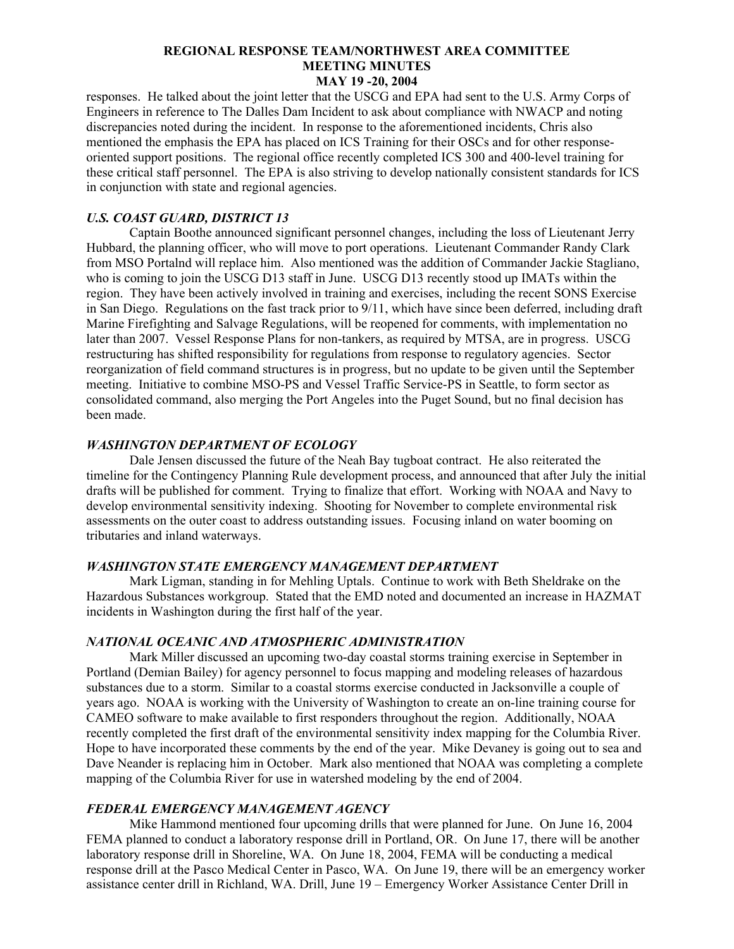responses. He talked about the joint letter that the USCG and EPA had sent to the U.S. Army Corps of Engineers in reference to The Dalles Dam Incident to ask about compliance with NWACP and noting discrepancies noted during the incident. In response to the aforementioned incidents, Chris also mentioned the emphasis the EPA has placed on ICS Training for their OSCs and for other responseoriented support positions. The regional office recently completed ICS 300 and 400-level training for these critical staff personnel. The EPA is also striving to develop nationally consistent standards for ICS in conjunction with state and regional agencies.

# *U.S. COAST GUARD, DISTRICT 13*

Captain Boothe announced significant personnel changes, including the loss of Lieutenant Jerry Hubbard, the planning officer, who will move to port operations. Lieutenant Commander Randy Clark from MSO Portalnd will replace him. Also mentioned was the addition of Commander Jackie Stagliano, who is coming to join the USCG D13 staff in June. USCG D13 recently stood up IMATs within the region. They have been actively involved in training and exercises, including the recent SONS Exercise in San Diego. Regulations on the fast track prior to 9/11, which have since been deferred, including draft Marine Firefighting and Salvage Regulations, will be reopened for comments, with implementation no later than 2007. Vessel Response Plans for non-tankers, as required by MTSA, are in progress. USCG restructuring has shifted responsibility for regulations from response to regulatory agencies. Sector reorganization of field command structures is in progress, but no update to be given until the September meeting. Initiative to combine MSO-PS and Vessel Traffic Service-PS in Seattle, to form sector as consolidated command, also merging the Port Angeles into the Puget Sound, but no final decision has been made.

## *WASHINGTON DEPARTMENT OF ECOLOGY*

Dale Jensen discussed the future of the Neah Bay tugboat contract. He also reiterated the timeline for the Contingency Planning Rule development process, and announced that after July the initial drafts will be published for comment. Trying to finalize that effort. Working with NOAA and Navy to develop environmental sensitivity indexing. Shooting for November to complete environmental risk assessments on the outer coast to address outstanding issues. Focusing inland on water booming on tributaries and inland waterways.

## *WASHINGTON STATE EMERGENCY MANAGEMENT DEPARTMENT*

Mark Ligman, standing in for Mehling Uptals. Continue to work with Beth Sheldrake on the Hazardous Substances workgroup. Stated that the EMD noted and documented an increase in HAZMAT incidents in Washington during the first half of the year.

#### *NATIONAL OCEANIC AND ATMOSPHERIC ADMINISTRATION*

Mark Miller discussed an upcoming two-day coastal storms training exercise in September in Portland (Demian Bailey) for agency personnel to focus mapping and modeling releases of hazardous substances due to a storm. Similar to a coastal storms exercise conducted in Jacksonville a couple of years ago. NOAA is working with the University of Washington to create an on-line training course for CAMEO software to make available to first responders throughout the region. Additionally, NOAA recently completed the first draft of the environmental sensitivity index mapping for the Columbia River. Hope to have incorporated these comments by the end of the year. Mike Devaney is going out to sea and Dave Neander is replacing him in October. Mark also mentioned that NOAA was completing a complete mapping of the Columbia River for use in watershed modeling by the end of 2004.

## *FEDERAL EMERGENCY MANAGEMENT AGENCY*

Mike Hammond mentioned four upcoming drills that were planned for June. On June 16, 2004 FEMA planned to conduct a laboratory response drill in Portland, OR. On June 17, there will be another laboratory response drill in Shoreline, WA. On June 18, 2004, FEMA will be conducting a medical response drill at the Pasco Medical Center in Pasco, WA. On June 19, there will be an emergency worker assistance center drill in Richland, WA. Drill, June 19 – Emergency Worker Assistance Center Drill in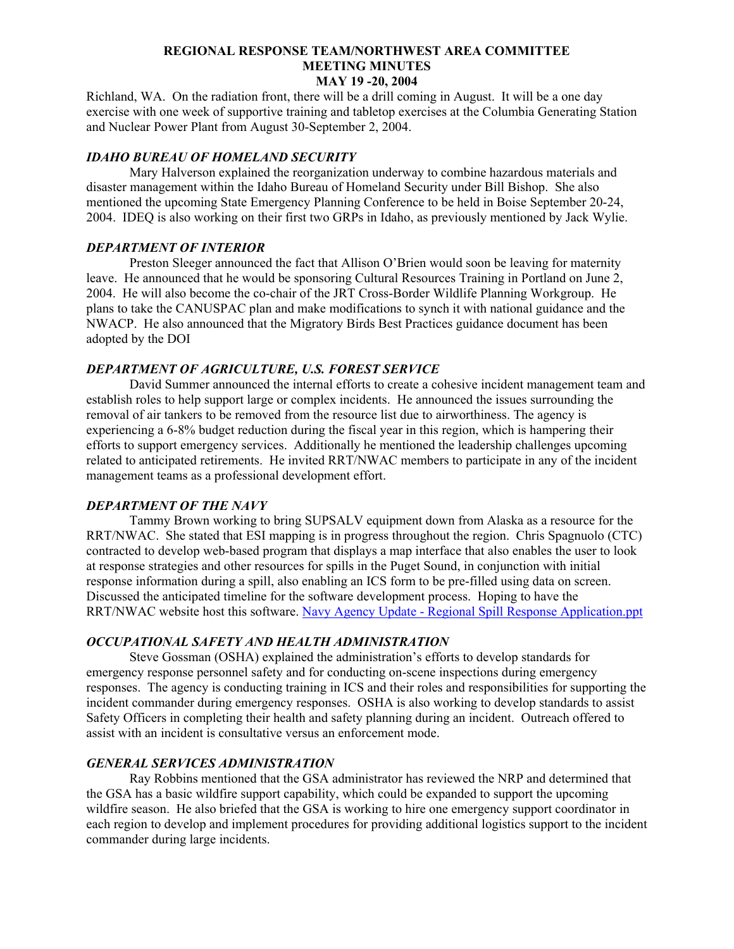Richland, WA. On the radiation front, there will be a drill coming in August. It will be a one day exercise with one week of supportive training and tabletop exercises at the Columbia Generating Station and Nuclear Power Plant from August 30-September 2, 2004.

# *IDAHO BUREAU OF HOMELAND SECURITY*

Mary Halverson explained the reorganization underway to combine hazardous materials and disaster management within the Idaho Bureau of Homeland Security under Bill Bishop. She also mentioned the upcoming State Emergency Planning Conference to be held in Boise September 20-24, 2004. IDEQ is also working on their first two GRPs in Idaho, as previously mentioned by Jack Wylie.

# *DEPARTMENT OF INTERIOR*

Preston Sleeger announced the fact that Allison O'Brien would soon be leaving for maternity leave. He announced that he would be sponsoring Cultural Resources Training in Portland on June 2, 2004. He will also become the co-chair of the JRT Cross-Border Wildlife Planning Workgroup. He plans to take the CANUSPAC plan and make modifications to synch it with national guidance and the NWACP. He also announced that the Migratory Birds Best Practices guidance document has been adopted by the DOI

# *DEPARTMENT OF AGRICULTURE, U.S. FOREST SERVICE*

David Summer announced the internal efforts to create a cohesive incident management team and establish roles to help support large or complex incidents. He announced the issues surrounding the removal of air tankers to be removed from the resource list due to airworthiness. The agency is experiencing a 6-8% budget reduction during the fiscal year in this region, which is hampering their efforts to support emergency services. Additionally he mentioned the leadership challenges upcoming related to anticipated retirements. He invited RRT/NWAC members to participate in any of the incident management teams as a professional development effort.

# *DEPARTMENT OF THE NAVY*

Tammy Brown working to bring SUPSALV equipment down from Alaska as a resource for the RRT/NWAC. She stated that ESI mapping is in progress throughout the region. Chris Spagnuolo (CTC) contracted to develop web-based program that displays a map interface that also enables the user to look at response strategies and other resources for spills in the Puget Sound, in conjunction with initial response information during a spill, also enabling an ICS form to be pre-filled using data on screen. Discussed the anticipated timeline for the software development process. Hoping to have the RRT/NWAC website host this software. [Navy Agency Update - Regional Spill Response Application.ppt](http://www.rrt10nwac.com/ppt_main.asp?varDir=14&varCount=87&varFile=040519_rrtnwac.pdf)

# *OCCUPATIONAL SAFETY AND HEALTH ADMINISTRATION*

Steve Gossman (OSHA) explained the administration's efforts to develop standards for emergency response personnel safety and for conducting on-scene inspections during emergency responses. The agency is conducting training in ICS and their roles and responsibilities for supporting the incident commander during emergency responses. OSHA is also working to develop standards to assist Safety Officers in completing their health and safety planning during an incident. Outreach offered to assist with an incident is consultative versus an enforcement mode.

# *GENERAL SERVICES ADMINISTRATION*

Ray Robbins mentioned that the GSA administrator has reviewed the NRP and determined that the GSA has a basic wildfire support capability, which could be expanded to support the upcoming wildfire season. He also briefed that the GSA is working to hire one emergency support coordinator in each region to develop and implement procedures for providing additional logistics support to the incident commander during large incidents.